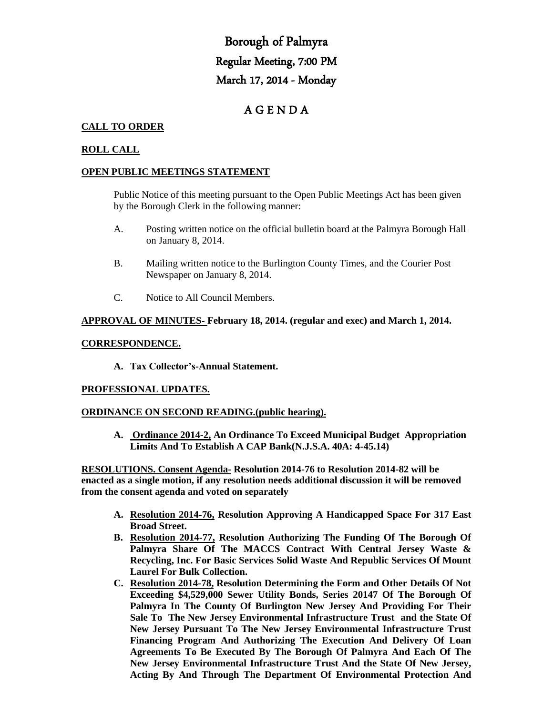# Borough of Palmyra Regular Meeting, 7:00 PM March 17, 2014 - Monday

# A G E N D A

# **CALL TO ORDER**

# **ROLL CALL**

## **OPEN PUBLIC MEETINGS STATEMENT**

Public Notice of this meeting pursuant to the Open Public Meetings Act has been given by the Borough Clerk in the following manner:

- A. Posting written notice on the official bulletin board at the Palmyra Borough Hall on January 8, 2014.
- B. Mailing written notice to the Burlington County Times, and the Courier Post Newspaper on January 8, 2014.
- C. Notice to All Council Members.

# **APPROVAL OF MINUTES- February 18, 2014. (regular and exec) and March 1, 2014.**

#### **CORRESPONDENCE.**

**A. Tax Collector's-Annual Statement.**

### **PROFESSIONAL UPDATES.**

### **ORDINANCE ON SECOND READING.(public hearing).**

**A. Ordinance 2014-2, An Ordinance To Exceed Municipal Budget Appropriation Limits And To Establish A CAP Bank(N.J.S.A. 40A: 4-45.14)**

**RESOLUTIONS. Consent Agenda- Resolution 2014-76 to Resolution 2014-82 will be enacted as a single motion, if any resolution needs additional discussion it will be removed from the consent agenda and voted on separately**

- **A. Resolution 2014-76, Resolution Approving A Handicapped Space For 317 East Broad Street.**
- **B. Resolution 2014-77, Resolution Authorizing The Funding Of The Borough Of Palmyra Share Of The MACCS Contract With Central Jersey Waste & Recycling, Inc. For Basic Services Solid Waste And Republic Services Of Mount Laurel For Bulk Collection.**
- **C. Resolution 2014-78, Resolution Determining the Form and Other Details Of Not Exceeding \$4,529,000 Sewer Utility Bonds, Series 20147 Of The Borough Of Palmyra In The County Of Burlington New Jersey And Providing For Their Sale To The New Jersey Environmental Infrastructure Trust and the State Of New Jersey Pursuant To The New Jersey Environmental Infrastructure Trust Financing Program And Authorizing The Execution And Delivery Of Loan Agreements To Be Executed By The Borough Of Palmyra And Each Of The New Jersey Environmental Infrastructure Trust And the State Of New Jersey, Acting By And Through The Department Of Environmental Protection And**